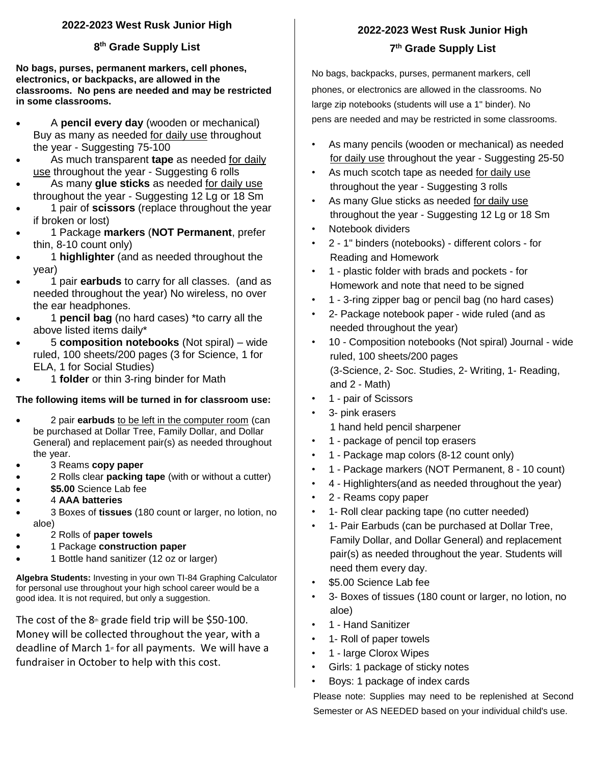#### **2022-2023 West Rusk Junior High**

#### **8 th Grade Supply List**

**No bags, purses, permanent markers, cell phones, electronics, or backpacks, are allowed in the classrooms. No pens are needed and may be restricted in some classrooms.**

- A **pencil every day** (wooden or mechanical) Buy as many as needed for daily use throughout the year - Suggesting 75-100
- As much transparent **tape** as needed for daily use throughout the year - Suggesting 6 rolls
- As many **glue sticks** as needed for daily use throughout the year - Suggesting 12 Lg or 18 Sm
- 1 pair of **scissors** (replace throughout the year if broken or lost)
- 1 Package **markers** (**NOT Permanent**, prefer thin, 8-10 count only)
- 1 **highlighter** (and as needed throughout the year)
- 1 pair **earbuds** to carry for all classes. (and as needed throughout the year) No wireless, no over the ear headphones.
- 1 **pencil bag** (no hard cases) \*to carry all the above listed items daily\*
- 5 **composition notebooks** (Not spiral) wide ruled, 100 sheets/200 pages (3 for Science, 1 for ELA, 1 for Social Studies)
- 1 **folder** or thin 3-ring binder for Math

#### **The following items will be turned in for classroom use:**

- 2 pair **earbuds** to be left in the computer room (can be purchased at Dollar Tree, Family Dollar, and Dollar General) and replacement pair(s) as needed throughout the year.
- 3 Reams **copy paper**
- 2 Rolls clear **packing tape** (with or without a cutter)
- **\$5.00** Science Lab fee
- 4 **AAA batteries**
- 3 Boxes of **tissues** (180 count or larger, no lotion, no aloe)
- 2 Rolls of **paper towels**
- 1 Package **construction paper**
- 1 Bottle hand sanitizer (12 oz or larger)

**Algebra Students:** Investing in your own TI-84 Graphing Calculator for personal use throughout your high school career would be a good idea. It is not required, but only a suggestion.

The cost of the  $8<sup>th</sup>$  grade field trip will be \$50-100. Money will be collected throughout the year, with a deadline of March  $1<sub>st</sub>$  for all payments. We will have a fundraiser in October to help with this cost.

# **2022-2023 West Rusk Junior High 7 th Grade Supply List**

No bags, backpacks, purses, permanent markers, cell phones, or electronics are allowed in the classrooms. No large zip notebooks (students will use a 1" binder). No pens are needed and may be restricted in some classrooms.

- As many pencils (wooden or mechanical) as needed for daily use throughout the year - Suggesting 25-50
- As much scotch tape as needed for daily use throughout the year - Suggesting 3 rolls
- As many Glue sticks as needed for daily use throughout the year - Suggesting 12 Lg or 18 Sm
- Notebook dividers
- 2 1" binders (notebooks) different colors for Reading and Homework
- 1 plastic folder with brads and pockets for Homework and note that need to be signed
- 1 3-ring zipper bag or pencil bag (no hard cases)
- 2- Package notebook paper wide ruled (and as needed throughout the year)
- 10 Composition notebooks (Not spiral) Journal wide ruled, 100 sheets/200 pages (3-Science, 2- Soc. Studies, 2- Writing, 1- Reading, and 2 - Math)
- 1 pair of Scissors
- 3- pink erasers 1 hand held pencil sharpener
- 1 package of pencil top erasers
- 1 Package map colors (8-12 count only)
- 1 Package markers (NOT Permanent, 8 10 count)
- 4 Highlighters(and as needed throughout the year)
- 2 Reams copy paper
- 1- Roll clear packing tape (no cutter needed)
- 1- Pair Earbuds (can be purchased at Dollar Tree, Family Dollar, and Dollar General) and replacement pair(s) as needed throughout the year. Students will need them every day.
- \$5.00 Science Lab fee
- 3- Boxes of tissues (180 count or larger, no lotion, no aloe)
- 1 Hand Sanitizer
- 1- Roll of paper towels
- 1 large Clorox Wipes
- Girls: 1 package of sticky notes
- Boys: 1 package of index cards

Please note: Supplies may need to be replenished at Second Semester or AS NEEDED based on your individual child's use.